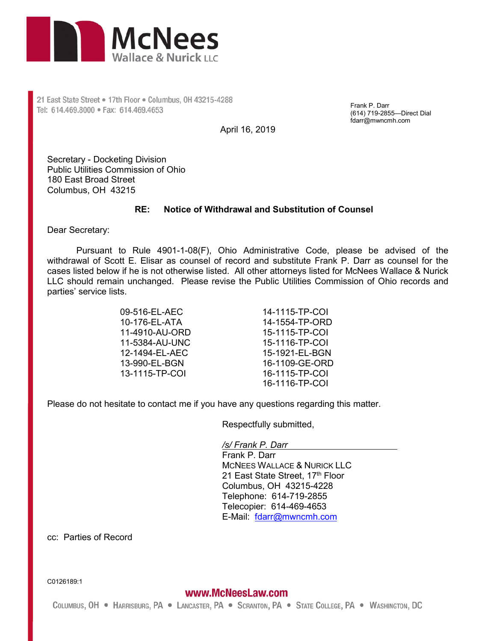

21 East State Street . 17th Floor . Columbus, 0H 43215-4288 Tel: 614.469.8000 · Fax: 614.469.4653

Frank P. Darr (614) 719-2855—Direct Dial fdarr@mwncmh.com

April 16, 2019

Secretary - Docketing Division Public Utilities Commission of Ohio 180 East Broad Street Columbus, OH 43215

## **RE: Notice of Withdrawal and Substitution of Counsel**

Dear Secretary:

Pursuant to Rule 4901-1-08(F), Ohio Administrative Code, please be advised of the withdrawal of Scott E. Elisar as counsel of record and substitute Frank P. Darr as counsel for the cases listed below if he is not otherwise listed. All other attorneys listed for McNees Wallace & Nurick LLC should remain unchanged. Please revise the Public Utilities Commission of Ohio records and parties' service lists.

> 09-516-EL-AEC 10-176-EL-ATA 11-4910-AU-ORD 11-5384-AU-UNC 12-1494-EL-AEC 13-990-EL-BGN 13-1115-TP-COI

14-1115-TP-COI 14-1554-TP-ORD 15-1115-TP-COI 15-1116-TP-COI 15-1921-EL-BGN 16-1109-GE-ORD 16-1115-TP-COI 16-1116-TP-COI

Please do not hesitate to contact me if you have any questions regarding this matter.

Respectfully submitted,

*/s/ Frank P. Darr* 

Frank P. Darr MCNEES WALLACE & NURICK LLC 21 East State Street, 17th Floor Columbus, OH 43215-4228 Telephone: 614-719-2855 Telecopier: 614-469-4653 E-Mail: fdarr@mwncmh.com

cc: Parties of Record

C0126189:1

www.McNeesLaw.com COLUMBUS, OH . HARRISBURG, PA . LANCASTER, PA . SCRANTON, PA . STATE COLLEGE, PA . WASHINGTON, DC